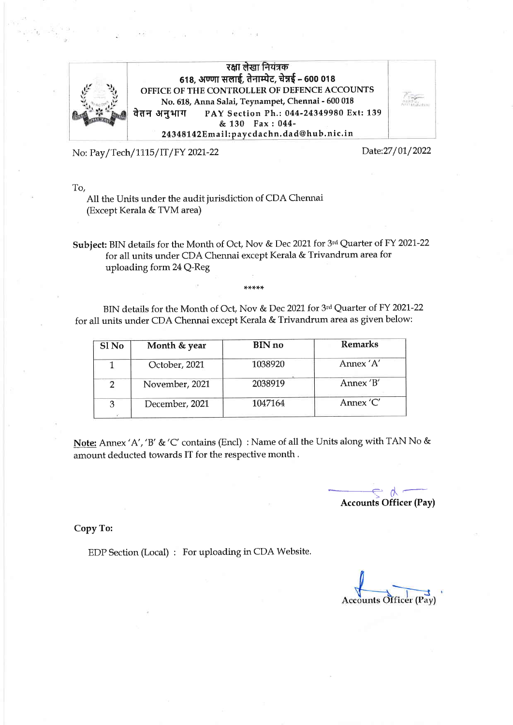

रक्षा लेखा नियंत्रक 618, अण्णा सलाई, तेनाम्पेट, चेन्नई - 600 018 OFFICE OF THE CONTROLLER OF DEFENCE ACCOUNTS No. 6L8, Anna Salai, Teynampet, Chennai - 600 018 वेतन अनुभाग PAY Section Ph.: 044-24349980 Ext: 139 & 130 Fax:044- 24348142Email: paycdachn.dad@hub.nic.in

No: Pay/Tech/1115/IT/FY 2021-22

Date: 27/01/2022

To,

A11 the Units under the audit jurisdiction of CDA Chennai (Except Kerala & TVM area)

Subject: BIN details for the Month of Oct, Nov & Dec 2021 for 3rd Quarter of FY 2021-22 for all units under CDA Chennai except Kerala & Trivandrum area for uploading forrn 24 Q-Reg

BIN details for the Month of Oct, Nov & Dec 2021 for 3rd Quarter of FY 2021-22 for all units under CDA Chennai except Kerala & Trivandrum area as given below:

| Sl <sub>No</sub> | Month & year   | <b>BIN</b> no | <b>Remarks</b> |
|------------------|----------------|---------------|----------------|
|                  | October, 2021  | 1038920       | Annex 'A'      |
|                  | November, 2021 | 2038919       | Annex 'B'      |
|                  | December, 2021 | 1047164       | Annex 'C'      |

Note: Annex 'A','B'&'C' contains (Encl) : Name of all the Units along with TAN No & amount deducted towards IT for the respective month.

 $\overline{\mathcal{L}}$ Accounts Officer (Pay)

Copy To:

EDP Section (Local) : For uploading in CDA Website.

**Accounts Officer (Pay)**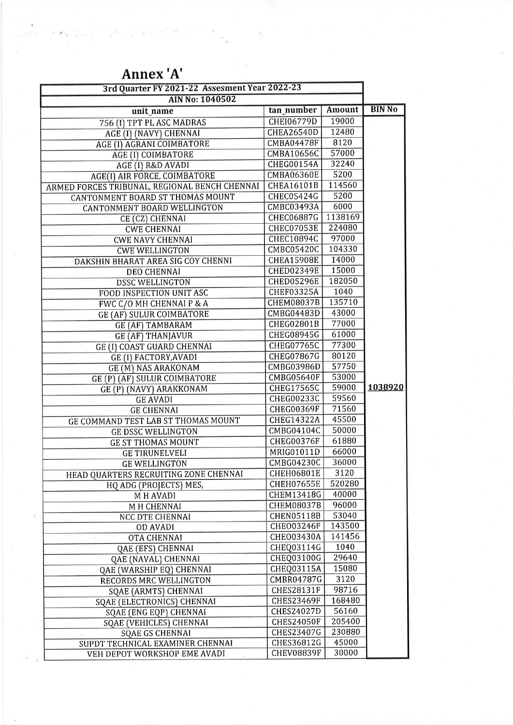| 3rd Quarter FY 2021-22 Assesment Year 2022-23 |                   |               |               |
|-----------------------------------------------|-------------------|---------------|---------------|
| <b>AIN No: 1040502</b>                        |                   |               |               |
| unit_name                                     | tan_number        | <b>Amount</b> | <b>BIN No</b> |
| 756 (I) TPT PL ASC MADRAS                     | <b>CHEI06779D</b> | 19000         |               |
| AGE (I) (NAVY) CHENNAI                        | <b>CHEA26540D</b> | 12480         |               |
| AGE (I) AGRANI COIMBATORE                     | <b>CMBA04478F</b> | 8120          |               |
| AGE (I) COIMBATORE                            | CMBA10656C        | 57000         |               |
| AGE (I) R&D AVADI                             | <b>CHEG00154A</b> | 32240         |               |
| AGE(I) AIR FORCE, COIMBATORE                  | <b>CMBA06360E</b> | 5200          |               |
| ARMED FORCES TRIBUNAL, REGIONAL BENCH CHENNAI | <b>CHEA16101B</b> | 114560        |               |
| <b>CANTONMENT BOARD ST THOMAS MOUNT</b>       | <b>CHEC05424G</b> | 5200          |               |
| CANTONMENT BOARD WELLINGTON                   | CMBC03493A        | 6000          |               |
| CE (CZ) CHENNAI                               | <b>CHEC06887G</b> | 1138169       |               |
| <b>CWE CHENNAI</b>                            | <b>CHEC07053E</b> | 224080        |               |
| <b>CWE NAVY CHENNAI</b>                       | <b>CHEC10894C</b> | 97000         |               |
| <b>CWE WELLINGTON</b>                         | <b>CMBC05420C</b> | 104330        |               |
| DAKSHIN BHARAT AREA SIG COY CHENNI            | <b>CHEA15908E</b> | 14000         |               |
| <b>DEO CHENNAI</b>                            | <b>CHED02349E</b> | 15000         |               |
| <b>DSSC WELLINGTON</b>                        | <b>CHED05296E</b> | 182050        |               |
| FOOD INSPECTION UNIT ASC                      | <b>CHEF03325A</b> | 1040          |               |
| FWC C/O MH CHENNAI P & A                      | <b>CHEM08037B</b> | 135710        |               |
| <b>GE (AF) SULUR COIMBATORE</b>               | CMBG04483D        | 43000         |               |
| <b>GE (AF) TAMBARAM</b>                       | CHEG02801B        | 77000         |               |
| <b>GE (AF) THANJAVUR</b>                      | <b>CHEG08945G</b> | 61000         |               |
| GE (I) COAST GUARD CHENNAI                    | <b>CHEG07765C</b> | 77300         |               |
| <b>GE (I) FACTORY, AVADI</b>                  | CHEG07867G        | 80120         |               |
| <b>GE (M) NAS ARAKONAM</b>                    | CMBG03986D        | 57750         |               |
| GE (P) (AF) SULUR COIMBATORE                  | <b>CMBG05640F</b> | 53000         |               |
| GE (P) (NAVY) ARAKKONAM                       | <b>CHEG17565C</b> | 59000         | 1038920       |
| <b>GE AVADI</b>                               | CHEG00233C        | 59560         |               |
| <b>GE CHENNAI</b>                             | <b>CHEG00369F</b> | 71560         |               |
| <b>GE COMMAND TEST LAB ST THOMAS MOUNT</b>    | <b>CHEG14322A</b> | 45500         |               |
| <b>GE DSSC WELLINGTON</b>                     | CMBG04104C        | 50000         |               |
| <b>GE ST THOMAS MOUNT</b>                     | <b>CHEG00376F</b> | 61880         |               |
| <b>GE TIRUNELVELI</b>                         | MRIG01011D        | 66000         |               |
| <b>GE WELLINGTON</b>                          | CMBG04230C        | 36000         |               |
| HEAD QUARTERS RECRUITING ZONE CHENNAI         | <b>CHEH06801E</b> | 3120          |               |
| HQ ADG (PROJECTS) MES,                        | <b>CHEH07655E</b> | 520280        |               |
| M H AVADI                                     | CHEM13418G        | 40000         |               |
| M H CHENNAI                                   | <b>CHEM08037B</b> | 96000         |               |
| NCC DTE CHENNAI                               | <b>CHEN05118B</b> | 53040         |               |
| <b>OD AVADI</b>                               | <b>CHEO03246F</b> | 143500        |               |
| OTA CHENNAI                                   | <b>CHEO03430A</b> | 141456        |               |
| QAE (EFS) CHENNAI                             | CHEQ03114G        | 1040          |               |
| QAE (NAVAL) CHENNAI                           | CHEQ03100G        | 29640         |               |
| QAE (WARSHIP EQ) CHENNAI                      | CHEQ03115A        | 15080         |               |
| RECORDS MRC WELLINGTON                        | CMBR04787G        | 3120          |               |
| <b>SQAE (ARMTS) CHENNAI</b>                   | <b>CHES28131F</b> | 98716         |               |
| SQAE (ELECTRONICS) CHENNAI                    | <b>CHES23469F</b> | 168480        |               |
| SQAE (ENG EQP) CHENNAI                        | <b>CHES24027D</b> | 56160         |               |
| SQAE (VEHICLES) CHENNAI                       | <b>CHES24050F</b> | 205400        |               |
| <b>SQAE GS CHENNAI</b>                        | CHES23407G        | 230880        |               |
| SUPDT TECHNICAL EXAMINER CHENNAI              | CHES36812G        | 45000         |               |
| VEH DEPOT WORKSHOP EME AVADI                  | <b>CHEV08839F</b> | 30000         |               |

 $\frac{1}{2}$  ,  $\frac{1}{2}$ 

 $\tilde{\mathcal{Y}}$ 

## Annex 'A'

 $\left\| \mathcal{L}(\mathbf{y}) \right\|_{L^2(\mathbb{R})} \lesssim \left\| \mathcal{L} \right\|_{L^2(\mathbb{R})} \lesssim \left\| \mathcal{L} \right\|_{L^2(\mathbb{R})} \lesssim \frac{1}{\sqrt{2}} \lesssim \frac{1}{\sqrt{2}}$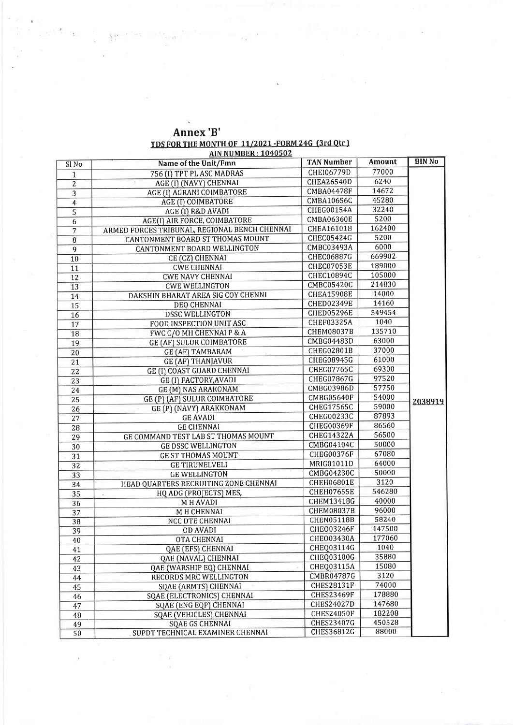| Annex 'B'                                                |  |
|----------------------------------------------------------|--|
| <u>TDS FOR THE MONTH OF 11/2021 -FORM 24G (3rd Otr )</u> |  |

**AIN NUMBER: 1040502** 

|                 | <u>INITION DUCTIONS</u>                       |                   |        |               |
|-----------------|-----------------------------------------------|-------------------|--------|---------------|
| Sl No           | Name of the Unit/Fmn                          | <b>TAN Number</b> | Amount | <b>BIN No</b> |
| $\mathbf{1}$    | 756 (I) TPT PL ASC MADRAS                     | CHE106779D        | 77000  |               |
| $\overline{2}$  | AGE (I) (NAVY) CHENNAI                        | CHEA26540D        | 6240   |               |
| 3               | AGE (I) AGRANI COIMBATORE                     | <b>CMBA04478F</b> | 14672  |               |
| 4               | AGE (I) COIMBATORE                            | CMBA10656C        | 45280  |               |
| 5               | AGE (I) R&D AVADI                             | CHEG00154A        | 32240  |               |
| 6               | AGE(I) AIR FORCE, COIMBATORE                  | CMBA06360E        | 5200   |               |
| 7               | ARMED FORCES TRIBUNAL, REGIONAL BENCH CHENNAI | CHEA16101B        | 162400 |               |
| 8               | CANTONMENT BOARD ST THOMAS MOUNT              | CHEC05424G        | 5200   |               |
| 9               | CANTONMENT BOARD WELLINGTON                   | CMBC03493A        | 6000   |               |
| 10              | CE (CZ) CHENNAI                               | CHEC06887G        | 669902 |               |
| 11              | <b>CWE CHENNAI</b>                            | CHEC07053E        | 189000 |               |
| 12              | <b>CWE NAVY CHENNAI</b>                       | CHEC10894C        | 105000 |               |
| 13              | <b>CWE WELLINGTON</b>                         | CMBC05420C        | 214830 |               |
| 14              | DAKSHIN BHARAT AREA SIG COY CHENNI            | <b>CHEA15908E</b> | 14000  |               |
| 15              | DEO CHENNAI                                   | <b>CHED02349E</b> | 14160  |               |
| 16              | DSSC WELLINGTON                               | CHED05296E        | 549454 |               |
| 17              | FOOD INSPECTION UNIT ASC                      | CHEF03325A        | 1040   |               |
| 18              | FWC C/O MH CHENNAI P & A                      | <b>CHEM08037B</b> | 135710 |               |
| 19              | GE (AF) SULUR COIMBATORE                      | CMBG04483D        | 63000  |               |
| 20              | <b>GE (AF) TAMBARAM</b>                       | CHEG02801B        | 37000  |               |
| 21              | <b>GE (AF) THANJAVUR</b>                      | CHEG08945G        | 61000  |               |
| 22              | GE (I) COAST GUARD CHENNAI                    | <b>CHEG07765C</b> | 69300  |               |
| 23              | GE (I) FACTORY, AVADI                         | CHEG07867G        | 97520  |               |
| 24              | GE (M) NAS ARAKONAM                           | CMBG03986D        | 57750  |               |
| 25              | GE (P) (AF) SULUR COIMBATORE                  | <b>CMBG05640F</b> | 54000  | 2038919       |
| $\overline{26}$ | GE (P) (NAVY) ARAKKONAM                       | CHEG17565C        | 59000  |               |
| 27              | <b>GE AVADI</b>                               | <b>CHEG00233C</b> | 87893  |               |
| 28              | <b>GE CHENNAI</b>                             | <b>CHEG00369F</b> | 86560  |               |
| 29              | GE COMMAND TEST LAB ST THOMAS MOUNT           | CHEG14322A        | 56500  |               |
| 30              | <b>GE DSSC WELLINGTON</b>                     | CMBG04104C        | 50000  |               |
| 31              | <b>GE ST THOMAS MOUNT</b>                     | <b>CHEG00376F</b> | 67080  |               |
| 32              | <b>GE TIRUNELVELI</b>                         | MRIG01011D        | 64000  |               |
| 33              | <b>GE WELLINGTON</b>                          | <b>CMBG04230C</b> | 50000  |               |
| 34              | HEAD QUARTERS RECRUITING ZONE CHENNAI         | CHEH06801E        | 3120   |               |
| 35              | HQ ADG (PROJECTS) MES,<br>$\sigma_{\rm{D}}$   | <b>CHEH07655E</b> | 546280 |               |
| 36              | <b>MHAVADI</b>                                | CHEM13418G        | 40000  |               |
| 37              | M H CHENNAI                                   | CHEM08037B        | 96000  |               |
| $\overline{38}$ | NCC DTE CHENNAI                               | <b>CHEN05118B</b> | 58240  |               |
| 39              | <b>OD AVADI</b>                               | <b>CHEO03246F</b> | 147500 |               |
| 40              | OTA CHENNAI                                   | <b>CHEO03430A</b> | 177060 |               |
| 41              | QAE (EFS) CHENNAI                             | CHEQ03114G        | 1040   |               |
| 42              | QAE (NAVAL) CHENNAI                           | CHEQ03100G        | 35880  |               |
| 43              | QAE (WARSHIP EQ) CHENNAI                      | CHEQ03115A        | 15080  |               |
| 44              | RECORDS MRC WELLINGTON                        | CMBR04787G        | 3120   |               |
| 45              | <b>SQAE (ARMTS) CHENNAI</b>                   | <b>CHES28131F</b> | 74000  |               |
| 46              | SQAE (ELECTRONICS) CHENNAI                    | <b>CHES23469F</b> | 178880 |               |
| 47              | SQAE (ENG EQP) CHENNAI                        | CHES24027D        | 147680 |               |
| 48              | SQAE (VEHICLES) CHENNAI                       | <b>CHES24050F</b> | 182208 |               |
| 49              | <b>SQAE GS CHENNAI</b>                        | <b>CHES23407G</b> | 450528 |               |
| 50              | SUPDT TECHNICAL EXAMINER CHENNAI              | CHES36812G        | 88000  |               |

 $\overline{2}$